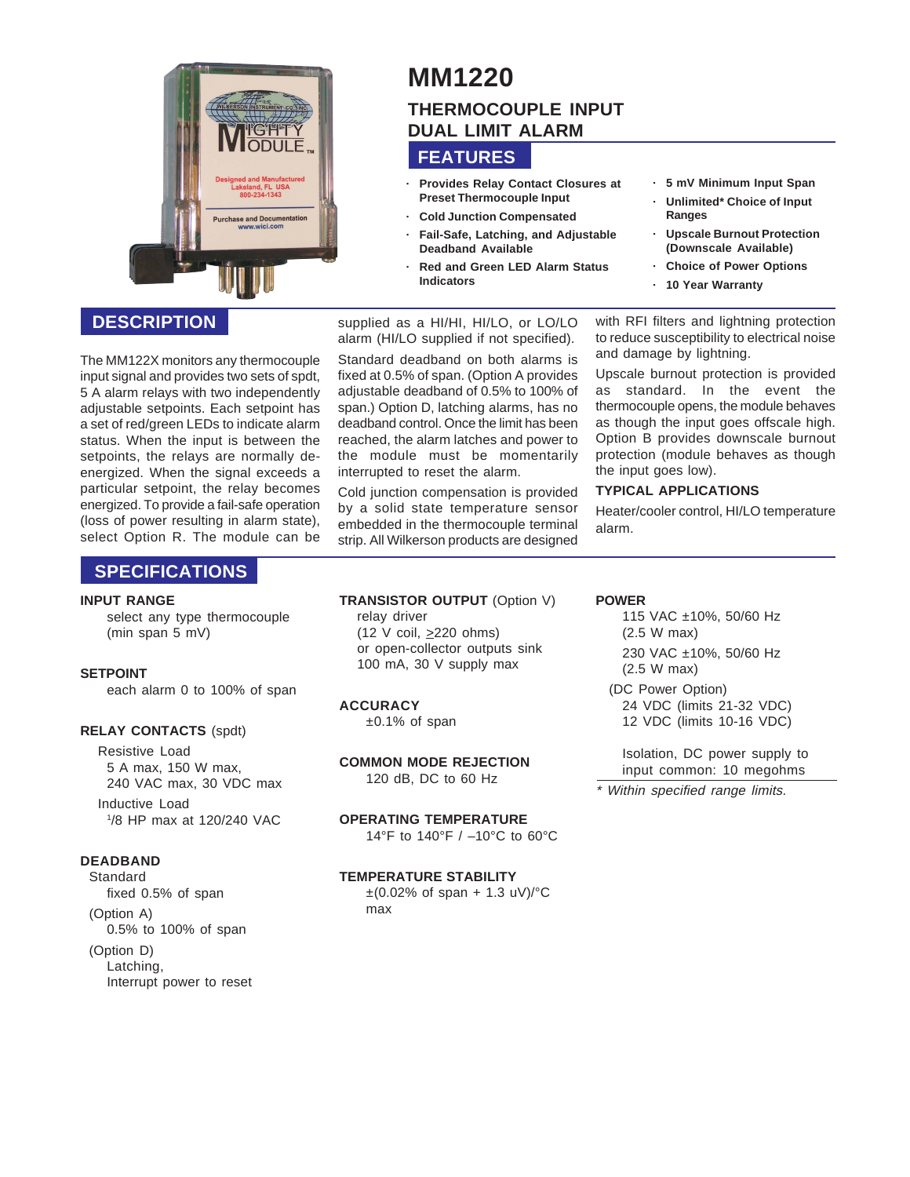

### **DESCRIPTION**

The MM122X monitors any thermocouple input signal and provides two sets of spdt, 5 A alarm relays with two independently adjustable setpoints. Each setpoint has a set of red/green LEDs to indicate alarm status. When the input is between the setpoints, the relays are normally deenergized. When the signal exceeds a particular setpoint, the relay becomes energized. To provide a fail-safe operation (loss of power resulting in alarm state), select Option R. The module can be

### **SPECIFICATIONS**

#### **INPUT RANGE**

select any type thermocouple (min span 5 mV)

### **SETPOINT**

each alarm 0 to 100% of span

### **RELAY CONTACTS** (spdt)

Resistive Load 5 A max, 150 W max, 240 VAC max, 30 VDC max

Inductive Load 1 /8 HP max at 120/240 VAC

### **DEADBAND**

Standard fixed 0.5% of span (Option A)

0.5% to 100% of span

(Option D) Latching, Interrupt power to reset

# **MM1220 THERMOCOUPLE INPUT DUAL LIMIT ALARM**

## **FEATURES**

- **· Provides Relay Contact Closures at Preset Thermocouple Input**
- **· Cold Junction Compensated · Fail-Safe, Latching, and Adjustable Deadband Available**
- **· Red and Green LED Alarm Status Indicators**

supplied as a HI/HI, HI/LO, or LO/LO alarm (HI/LO supplied if not specified).

Standard deadband on both alarms is fixed at 0.5% of span. (Option A provides adjustable deadband of 0.5% to 100% of span.) Option D, latching alarms, has no deadband control. Once the limit has been reached, the alarm latches and power to the module must be momentarily interrupted to reset the alarm.

Cold junction compensation is provided by a solid state temperature sensor embedded in the thermocouple terminal strip. All Wilkerson products are designed **· 5 mV Minimum Input Span**

- **· Unlimited\* Choice of Input Ranges**
- **· Upscale Burnout Protection (Downscale Available)**
- **· Choice of Power Options**
- **· 10 Year Warranty**

with RFI filters and lightning protection to reduce susceptibility to electrical noise and damage by lightning.

Upscale burnout protection is provided as standard. In the event the thermocouple opens, the module behaves as though the input goes offscale high. Option B provides downscale burnout protection (module behaves as though the input goes low).

### **TYPICAL APPLICATIONS**

Heater/cooler control, HI/LO temperature alarm.

**TRANSISTOR OUTPUT** (Option V) relay driver  $(12 \text{ V coil}, \geq 220 \text{ ohms})$ or open-collector outputs sink 100 mA, 30 V supply max

### **ACCURACY**

 $±0.1\%$  of span

**COMMON MODE REJECTION** 120 dB, DC to 60 Hz

**OPERATING TEMPERATURE** 14°F to 140°F / –10°C to 60°C

### **TEMPERATURE STABILITY**

 $\pm$ (0.02% of span + 1.3 uV)/ $^{\circ}$ C max

### **POWER**

115 VAC ±10%, 50/60 Hz (2.5 W max) 230 VAC ±10%, 50/60 Hz (2.5 W max)

(DC Power Option) 24 VDC (limits 21-32 VDC) 12 VDC (limits 10-16 VDC)

Isolation, DC power supply to input common: 10 megohms

\* Within specified range limits.